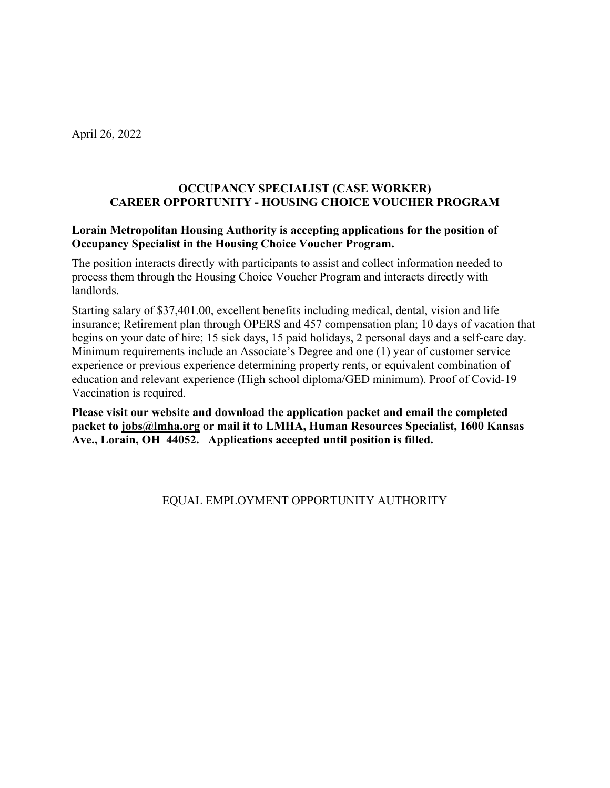April 26, 2022

### **OCCUPANCY SPECIALIST (CASE WORKER) CAREER OPPORTUNITY - HOUSING CHOICE VOUCHER PROGRAM**

### **Lorain Metropolitan Housing Authority is accepting applications for the position of Occupancy Specialist in the Housing Choice Voucher Program.**

The position interacts directly with participants to assist and collect information needed to process them through the Housing Choice Voucher Program and interacts directly with landlords.

Starting salary of \$37,401.00, excellent benefits including medical, dental, vision and life insurance; Retirement plan through OPERS and 457 compensation plan; 10 days of vacation that begins on your date of hire; 15 sick days, 15 paid holidays, 2 personal days and a self-care day. Minimum requirements include an Associate's Degree and one (1) year of customer service experience or previous experience determining property rents, or equivalent combination of education and relevant experience (High school diploma/GED minimum). Proof of Covid-19 Vaccination is required.

**Please visit our website and download the application packet and email the completed packet to [jobs@lmha.org](mailto:jobs@lmha.org) or mail it to LMHA, Human Resources Specialist, 1600 Kansas Ave., Lorain, OH 44052. Applications accepted until position is filled.**

### EQUAL EMPLOYMENT OPPORTUNITY AUTHORITY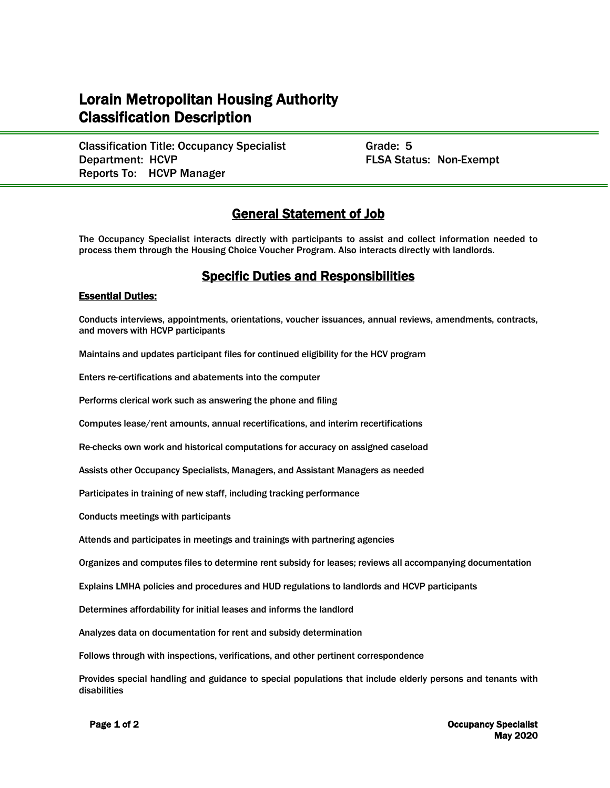# Lorain Metropolitan Housing Authority Classification Description

Classification Title: Occupancy Specialist Grade: 5 Department: HCVP **FLSA Status: Non-Exempt** Reports To: HCVP Manager

## General Statement of Job

The Occupancy Specialist interacts directly with participants to assist and collect information needed to process them through the Housing Choice Voucher Program. Also interacts directly with landlords.

### Specific Duties and Responsibilities

#### Essential Duties:

í

Conducts interviews, appointments, orientations, voucher issuances, annual reviews, amendments, contracts, and movers with HCVP participants

Maintains and updates participant files for continued eligibility for the HCV program

Enters re-certifications and abatements into the computer

Performs clerical work such as answering the phone and filing

Computes lease/rent amounts, annual recertifications, and interim recertifications

Re-checks own work and historical computations for accuracy on assigned caseload

Assists other Occupancy Specialists, Managers, and Assistant Managers as needed

Participates in training of new staff, including tracking performance

Conducts meetings with participants

Attends and participates in meetings and trainings with partnering agencies

Organizes and computes files to determine rent subsidy for leases; reviews all accompanying documentation

Explains LMHA policies and procedures and HUD regulations to landlords and HCVP participants

Determines affordability for initial leases and informs the landlord

Analyzes data on documentation for rent and subsidy determination

Follows through with inspections, verifications, and other pertinent correspondence

Provides special handling and guidance to special populations that include elderly persons and tenants with disabilities